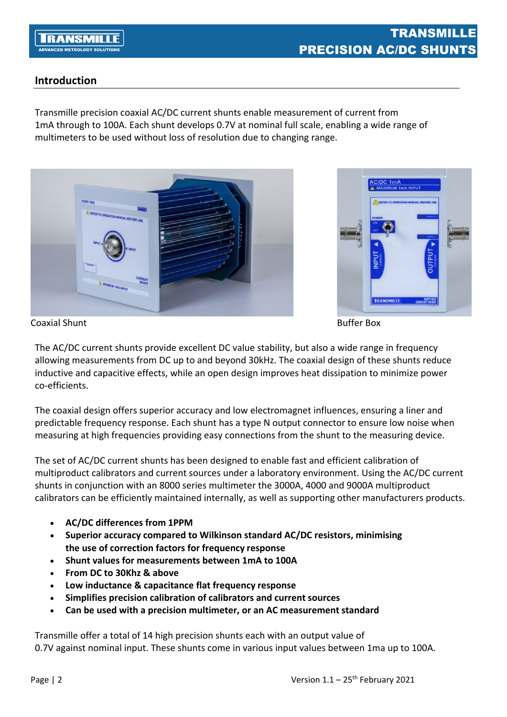# **Introduction**

Transmille precision coaxial AC/DC current shunts enable measurement of current from 1mA through to 100A. Each shunt develops 0.7V at nominal full scale, enabling a wide range of multimeters to be used without loss of resolution due to changing range.





The AC/DC current shunts provide excellent DC value stability, but also a wide range in frequency allowing measurements from DC up to and beyond 30kHz. The coaxial design of these shunts reduce inductive and capacitive effects, while an open design improves heat dissipation to minimize power co-efficients.

The coaxial design offers superior accuracy and low electromagnet influences, ensuring a liner and predictable frequency response. Each shunt has a type N output connector to ensure low noise when measuring at high frequencies providing easy connections from the shunt to the measuring device.

The set of AC/DC current shunts has been designed to enable fast and efficient calibration of multiproduct calibrators and current sources under a laboratory environment. Using the AC/DC current shunts in conjunction with an 8000 series multimeter the 3000A, 4000 and 9000A multiproduct calibrators can be efficiently maintained internally, as well as supporting other manufacturers products.

- **AC/DC differences from 1PPM**
- **Superior accuracy compared to Wilkinson standard AC/DC resistors, minimising the use of correction factors for frequency response**
- **Shunt values for measurements between 1mA to 100A**
- **From DC to 30Khz & above**
- **Low inductance & capacitance flat frequency response**
- **Simplifies precision calibration of calibrators and current sources**
- **Can be used with a precision multimeter, or an AC measurementstandard**

Transmille offer a total of 14 high precision shunts each with an output value of 0.7V against nominal input. These shunts come in various input values between 1ma up to 100A.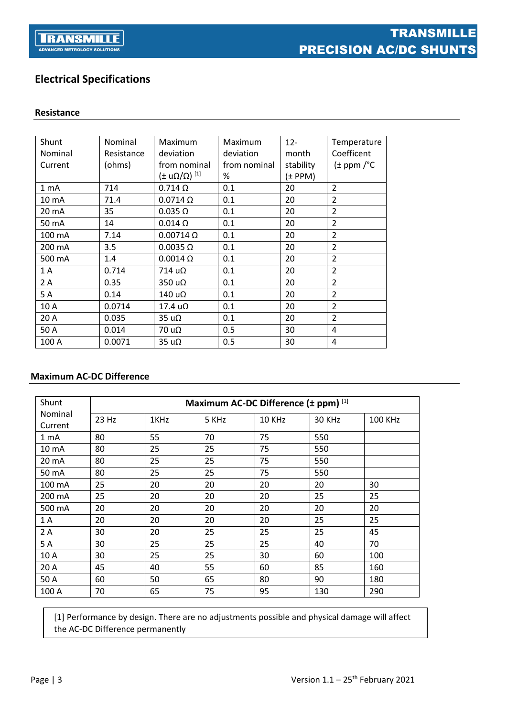

# **Electrical Specifications**

### **Resistance**

| Shunt   | Nominal    | Maximum                    | Maximum      | $12 -$    | Temperature               |
|---------|------------|----------------------------|--------------|-----------|---------------------------|
| Nominal | Resistance | deviation                  | deviation    | month     | Coefficent                |
| Current | (ohms)     | from nominal               | from nominal | stability | $(\pm$ ppm / $^{\circ}$ C |
|         |            | (± u $\Omega/\Omega$ ) [1] | %            | (± PPM)   |                           |
| 1 mA    | 714        | $0.714 \Omega$             | 0.1          | 20        | $\overline{2}$            |
| 10 mA   | 71.4       | $0.0714 \Omega$            | 0.1          | 20        | $\overline{2}$            |
| 20 mA   | 35         | $0.035 \Omega$             | 0.1          | 20        | $\overline{2}$            |
| 50 mA   | 14         | $0.014 \Omega$             | 0.1          | 20        | $\overline{2}$            |
| 100 mA  | 7.14       | $0.00714 \Omega$           | 0.1          | 20        | $\overline{2}$            |
| 200 mA  | 3.5        | $0.0035 \Omega$            | 0.1          | 20        | $\overline{2}$            |
| 500 mA  | 1.4        | $0.0014 \Omega$            | 0.1          | 20        | $\overline{2}$            |
| 1 A     | 0.714      | $714 u\Omega$              | 0.1          | 20        | $\overline{2}$            |
| 2 A     | 0.35       | $350 u\Omega$              | 0.1          | 20        | $\overline{2}$            |
| 5A      | 0.14       | $140 u\Omega$              | 0.1          | 20        | $\overline{2}$            |
| 10 A    | 0.0714     | $17.4 \text{ u}\Omega$     | 0.1          | 20        | $\overline{2}$            |
| 20 A    | 0.035      | 35 u <sub>2</sub>          | 0.1          | 20        | $\overline{\phantom{a}}$  |
| 50 A    | 0.014      | 70 u <sub>2</sub>          | 0.5          | 30        | 4                         |
| 100 A   | 0.0071     | 35 u <sub>Ω</sub>          | 0.5          | 30        | 4                         |

## **Maximum AC-DC Difference**

| Shunt              |       | Maximum AC-DC Difference (± ppm) [1] |       |        |        |                |
|--------------------|-------|--------------------------------------|-------|--------|--------|----------------|
| Nominal<br>Current | 23 Hz | 1KHz                                 | 5 KHz | 10 KHz | 30 KHz | <b>100 KHz</b> |
| 1 mA               | 80    | 55                                   | 70    | 75     | 550    |                |
| 10 mA              | 80    | 25                                   | 25    | 75     | 550    |                |
| 20 mA              | 80    | 25                                   | 25    | 75     | 550    |                |
| 50 mA              | 80    | 25                                   | 25    | 75     | 550    |                |
| 100 mA             | 25    | 20                                   | 20    | 20     | 20     | 30             |
| 200 mA             | 25    | 20                                   | 20    | 20     | 25     | 25             |
| 500 mA             | 20    | 20                                   | 20    | 20     | 20     | 20             |
| 1 A                | 20    | 20                                   | 20    | 20     | 25     | 25             |
| 2A                 | 30    | 20                                   | 25    | 25     | 25     | 45             |
| 5 A                | 30    | 25                                   | 25    | 25     | 40     | 70             |
| 10 A               | 30    | 25                                   | 25    | 30     | 60     | 100            |
| 20 A               | 45    | 40                                   | 55    | 60     | 85     | 160            |
| 50 A               | 60    | 50                                   | 65    | 80     | 90     | 180            |
| 100 A              | 70    | 65                                   | 75    | 95     | 130    | 290            |

[1] Performance by design. There are no adjustments possible and physical damage will affect the AC-DC Difference permanently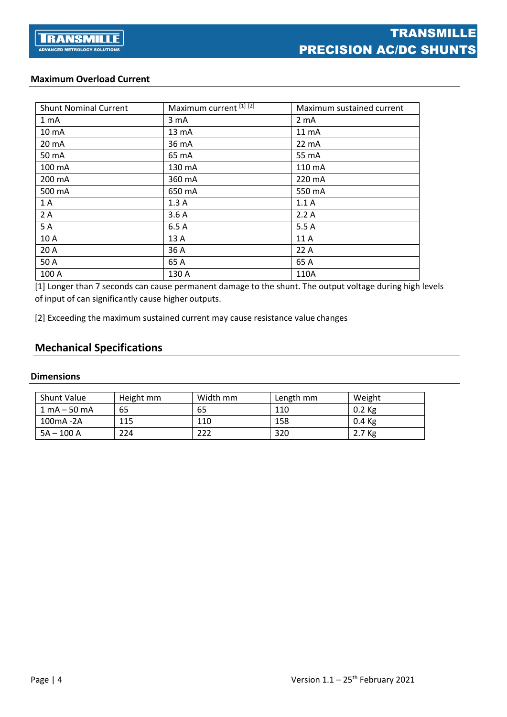## **Maximum Overload Current**

| <b>Shunt Nominal Current</b> | Maximum current [1] [2] | Maximum sustained current |
|------------------------------|-------------------------|---------------------------|
| 1 <sub>mA</sub>              | 3 <sub>m</sub> A        | 2 <sub>m</sub> A          |
| 10 mA                        | 13 mA                   | 11 mA                     |
| 20 mA                        | 36 mA                   | 22 mA                     |
| 50 mA                        | 65 mA                   | 55 mA                     |
| 100 mA                       | 130 mA                  | 110 mA                    |
| 200 mA                       | 360 mA                  | 220 mA                    |
| 500 mA                       | 650 mA                  | 550 mA                    |
| 1A                           | 1.3A                    | 1.1A                      |
| 2A                           | 3.6A                    | 2.2A                      |
| 5A                           | 6.5A                    | 5.5A                      |
| 10 A                         | 13 A                    | 11 A                      |
| 20 A                         | 36 A                    | 22A                       |
| 50 A                         | 65 A                    | 65 A                      |
| 100 A                        | 130 A                   | 110A                      |

[1] Longer than 7 seconds can cause permanent damage to the shunt. The output voltage during high levels of input of can significantly cause higher outputs.

[2] Exceeding the maximum sustained current may cause resistance value changes

# **Mechanical Specifications**

#### **Dimensions**

| <b>Shunt Value</b>             | Height mm | Width mm | Length mm | Weight   |
|--------------------------------|-----------|----------|-----------|----------|
| $1 \text{ mA} - 50 \text{ mA}$ | 65        | 65       | 110       | $0.2$ Kg |
| 100mA -2A                      | 115       | 110      | 158       | $0.4$ Kg |
| $5A - 100A$                    | 224       | 222      | 320       | 2.7 Kg   |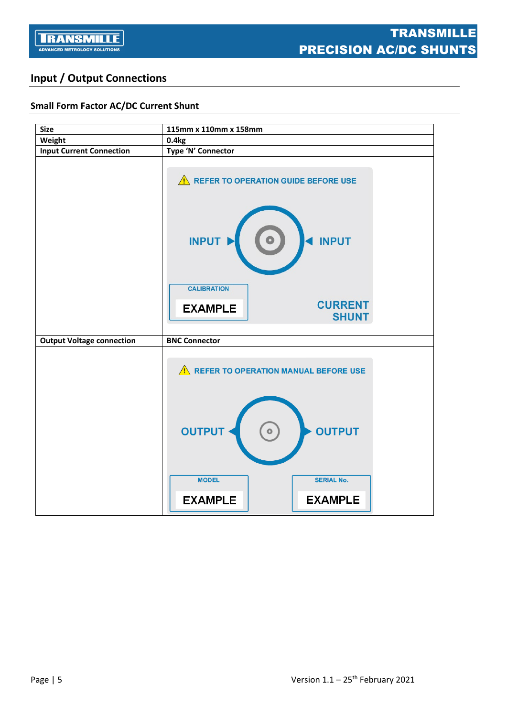

# **Input / Output Connections**

## **Small Form Factor AC/DC Current Shunt**

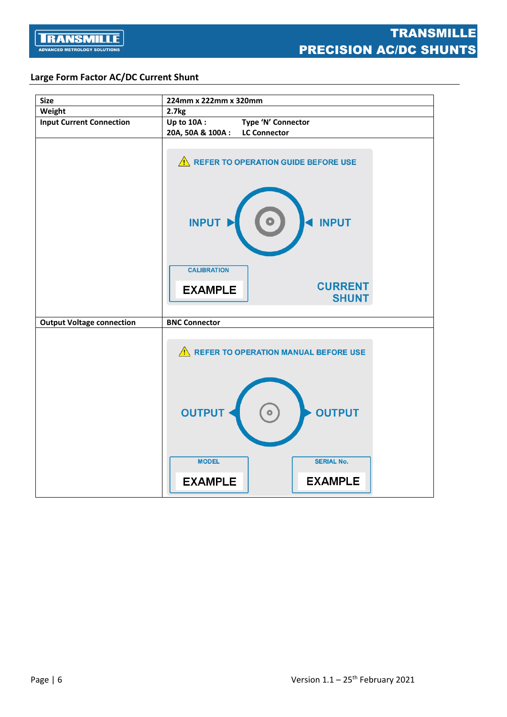

## **Large Form Factor AC/DC Current Shunt**

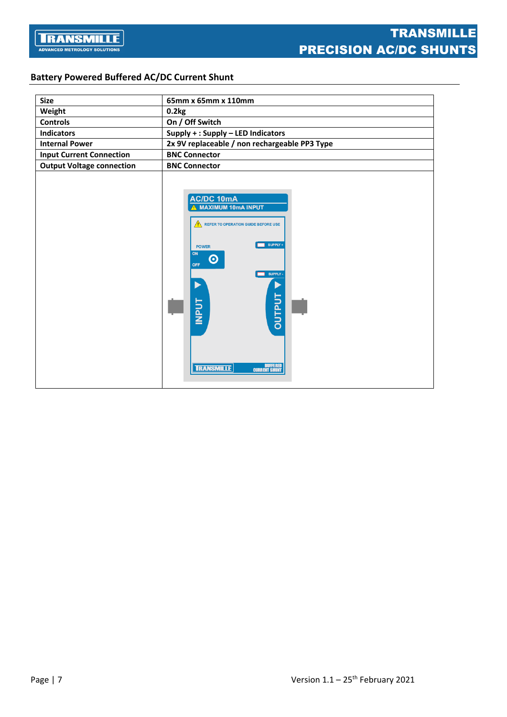# **Battery Powered Buffered AC/DC Current Shunt**

| <b>Size</b>                      | 65mm x 65mm x 110mm                                                                                                                                                                                                                                                 |  |  |  |
|----------------------------------|---------------------------------------------------------------------------------------------------------------------------------------------------------------------------------------------------------------------------------------------------------------------|--|--|--|
| Weight                           | 0.2kg                                                                                                                                                                                                                                                               |  |  |  |
| <b>Controls</b>                  | On / Off Switch                                                                                                                                                                                                                                                     |  |  |  |
| <b>Indicators</b>                | Supply + : Supply - LED Indicators                                                                                                                                                                                                                                  |  |  |  |
| <b>Internal Power</b>            | 2x 9V replaceable / non rechargeable PP3 Type                                                                                                                                                                                                                       |  |  |  |
| <b>Input Current Connection</b>  | <b>BNC Connector</b>                                                                                                                                                                                                                                                |  |  |  |
| <b>Output Voltage connection</b> | <b>BNC Connector</b>                                                                                                                                                                                                                                                |  |  |  |
|                                  | <b>AC/DC 10mA</b><br><b>MAXIMUM 10mA INPUT</b><br><b>REFER TO OPERATION GUIDE BEFORE USE</b><br>SUPPLY +<br><b>POWER</b><br>ON<br>$\boldsymbol{\odot}$<br>OFF<br>SUPPLY -<br><b>DUTPUT</b><br><b>INPUT</b><br><b>BUFFERED</b><br>CURRENT SHUNT<br><b>TRANSMILLE</b> |  |  |  |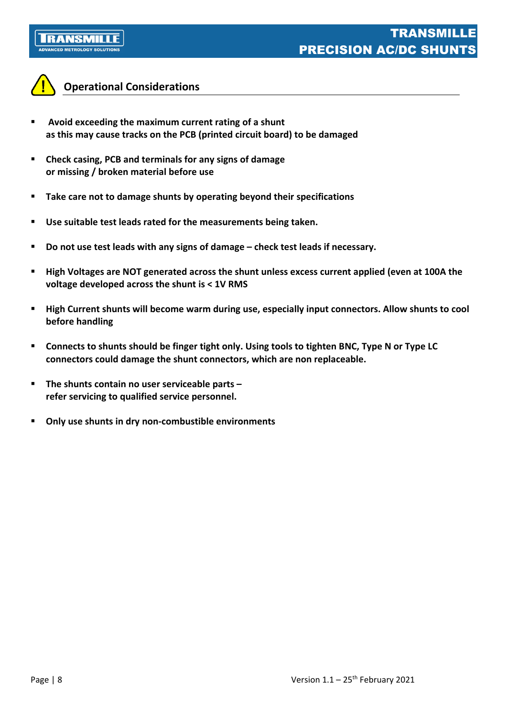



# **Operational Considerations**

- **Avoid exceeding the maximum current rating of a shunt as this may cause tracks on the PCB (printed circuit board) to be damaged**
- **Check casing, PCB and terminals for any signs of damage or missing / broken material before use**
- **Take care not to damage shunts by operating beyond their specifications**
- **Use suitable test leads rated for the measurements being taken.**
- **Do not use test leads with any signs of damage – check test leads if necessary.**
- **High Voltages are NOT generated across the shunt unless excess current applied (even at 100A the voltage developed across the shunt is < 1V RMS**
- **High Current shunts will become warm during use, especially input connectors. Allow shunts to cool before handling**
- **Connects to shunts should be finger tight only. Using tools to tighten BNC, Type N or Type LC connectors could damage the shunt connectors, which are non replaceable.**
- **The shunts contain no user serviceable parts – refer servicing to qualified service personnel.**
- **Only use shunts in dry non-combustible environments**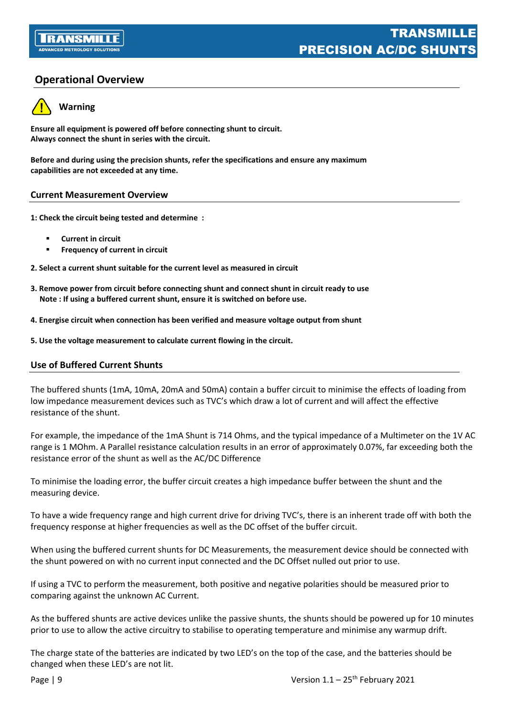# **Operational Overview**



**Warning**

**Ensure all equipment is powered off before connecting shunt to circuit. Always connect the shunt in series with the circuit.**

**Before and during using the precision shunts, refer the specifications and ensure any maximum capabilities are not exceeded at any time.**

## **Current Measurement Overview**

**1: Check the circuit being tested and determine :** 

- **Current in circuit**
- **Frequency of current in circuit**

**2. Select a current shunt suitable for the current level as measured in circuit**

- **3. Remove power from circuit before connecting shunt and connect shunt in circuit ready to use Note : If using a buffered current shunt, ensure it is switched on before use.**
- **4. Energise circuit when connection has been verified and measure voltage output from shunt**
- **5. Use the voltage measurement to calculate current flowing in the circuit.**

#### **Use of Buffered Current Shunts**

The buffered shunts (1mA, 10mA, 20mA and 50mA) contain a buffer circuit to minimise the effects of loading from low impedance measurement devices such as TVC's which draw a lot of current and will affect the effective resistance of the shunt.

For example, the impedance of the 1mA Shunt is 714 Ohms, and the typical impedance of a Multimeter on the 1V AC range is 1 MOhm. A Parallel resistance calculation results in an error of approximately 0.07%, far exceeding both the resistance error of the shunt as well as the AC/DC Difference

To minimise the loading error, the buffer circuit creates a high impedance buffer between the shunt and the measuring device.

To have a wide frequency range and high current drive for driving TVC's, there is an inherent trade off with both the frequency response at higher frequencies as well as the DC offset of the buffer circuit.

When using the buffered current shunts for DC Measurements, the measurement device should be connected with the shunt powered on with no current input connected and the DC Offset nulled out prior to use.

If using a TVC to perform the measurement, both positive and negative polarities should be measured prior to comparing against the unknown AC Current.

As the buffered shunts are active devices unlike the passive shunts, the shunts should be powered up for 10 minutes prior to use to allow the active circuitry to stabilise to operating temperature and minimise any warmup drift.

The charge state of the batteries are indicated by two LED's on the top of the case, and the batteries should be changed when these LED's are not lit.